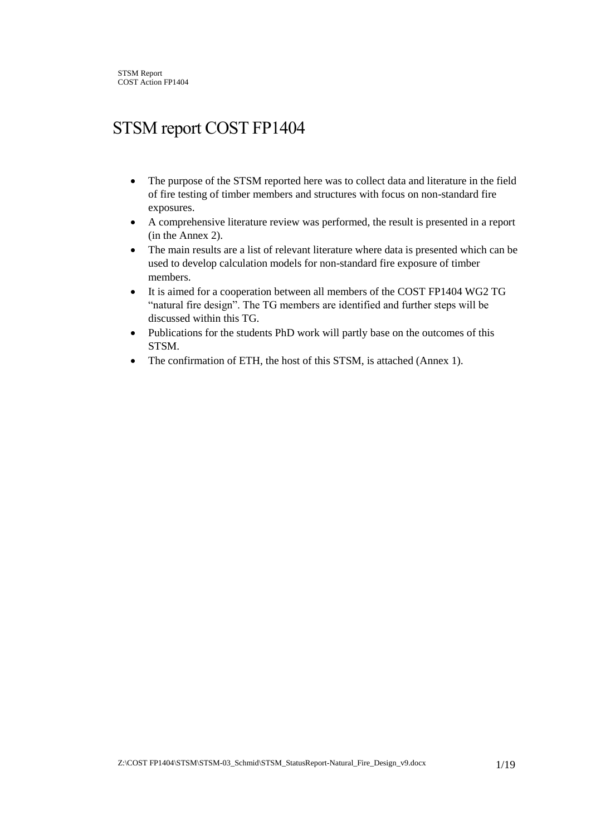# STSM report COST FP1404

- The purpose of the STSM reported here was to collect data and literature in the field of fire testing of timber members and structures with focus on non-standard fire exposures.
- A comprehensive literature review was performed, the result is presented in a report (in the Annex 2).
- The main results are a list of relevant literature where data is presented which can be used to develop calculation models for non-standard fire exposure of timber members.
- It is aimed for a cooperation between all members of the COST FP1404 WG2 TG "natural fire design". The TG members are identified and further steps will be discussed within this TG.
- Publications for the students PhD work will partly base on the outcomes of this STSM.
- The confirmation of ETH, the host of this STSM, is attached (Annex 1).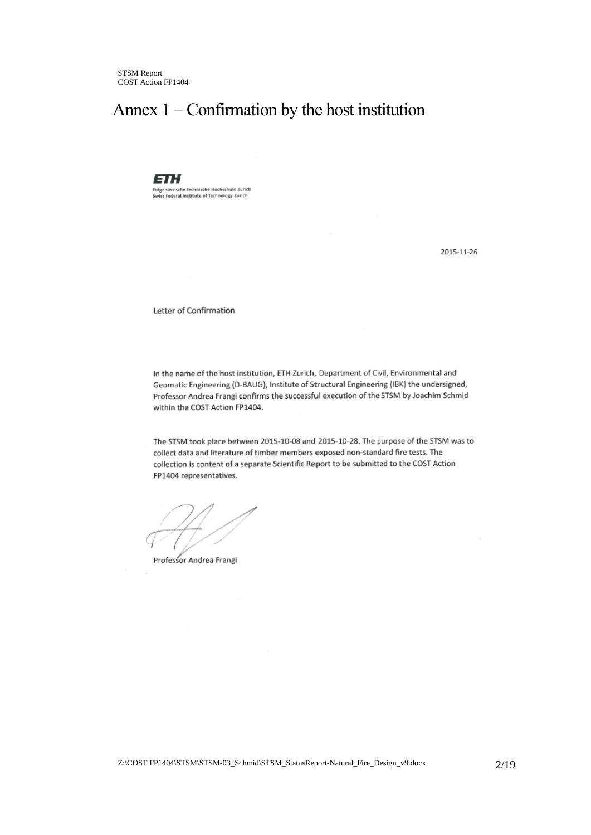# Annex 1 – Confirmation by the host institution

ETH Eidgenössische Technische Hochschule Zürich<br>Swiss Federal Institute of Technology Zurich

2015-11-26

Letter of Confirmation

In the name of the host institution, ETH Zurich, Department of Civil, Environmental and Geomatic Engineering (D-BAUG), Institute of Structural Engineering (IBK) the undersigned, Professor Andrea Frangi confirms the successful execution of the STSM by Joachim Schmid within the COST Action FP1404.

The STSM took place between 2015-10-08 and 2015-10-28. The purpose of the STSM was to collect data and literature of timber members exposed non-standard fire tests. The collection is content of a separate Scientific Report to be submitted to the COST Action FP1404 representatives.

Professor Andrea Frangi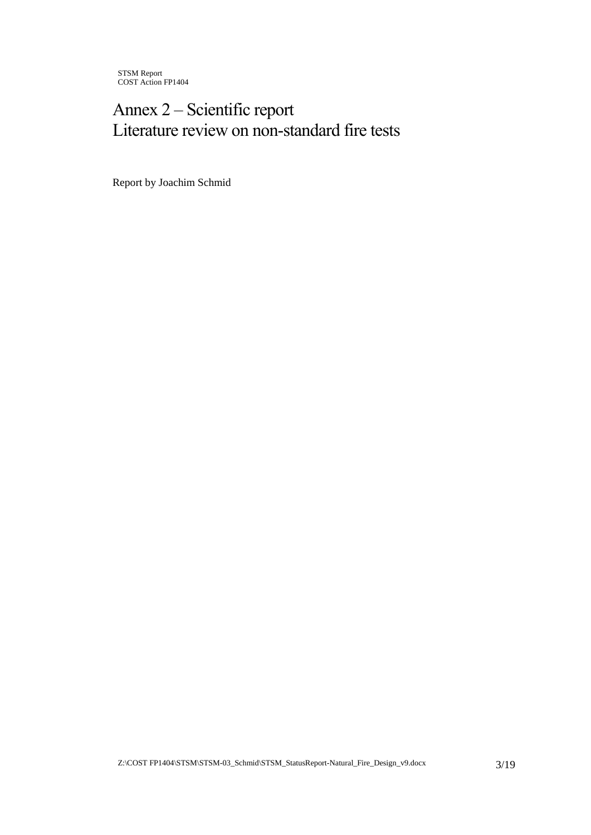# Annex 2 – Scientific report Literature review on non-standard fire tests

Report by Joachim Schmid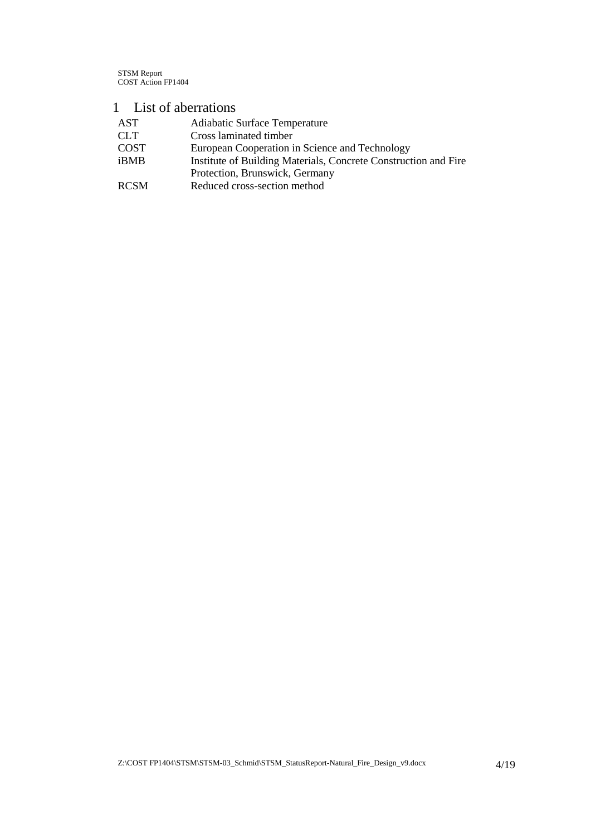# 1 List of aberrations

| AST         | Adiabatic Surface Temperature                                   |
|-------------|-----------------------------------------------------------------|
| <b>CLT</b>  | Cross laminated timber                                          |
| <b>COST</b> | European Cooperation in Science and Technology                  |
| iBMB        | Institute of Building Materials, Concrete Construction and Fire |
|             | Protection, Brunswick, Germany                                  |
| <b>RCSM</b> | Reduced cross-section method                                    |
|             |                                                                 |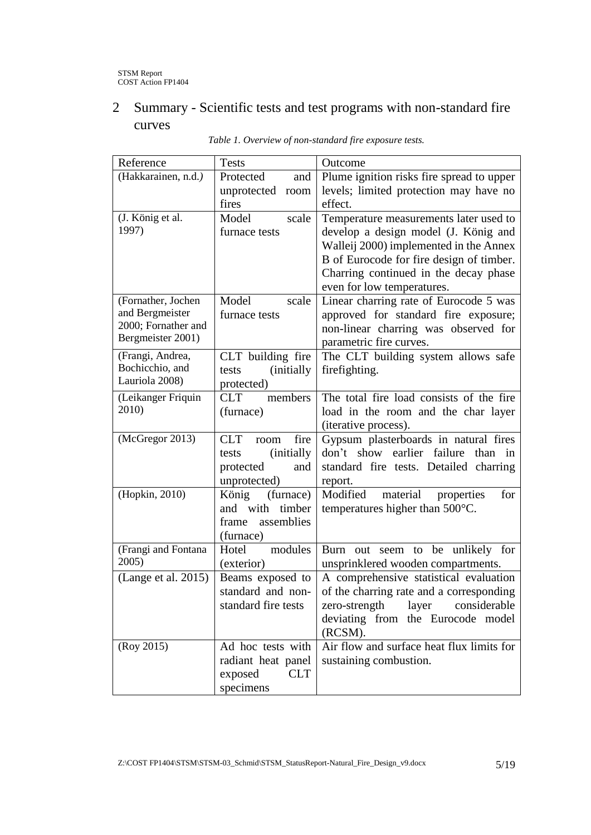# 2 Summary - Scientific tests and test programs with non-standard fire curves

| Reference           | <b>Tests</b>                | Outcome                                     |
|---------------------|-----------------------------|---------------------------------------------|
| (Hakkarainen, n.d.) | Protected<br>and            | Plume ignition risks fire spread to upper   |
|                     | unprotected<br>room         | levels; limited protection may have no      |
|                     | fires                       | effect.                                     |
| (J. König et al.    | Model<br>scale              | Temperature measurements later used to      |
| 1997)               | furnace tests               | develop a design model (J. König and        |
|                     |                             | Walleij 2000) implemented in the Annex      |
|                     |                             | B of Eurocode for fire design of timber.    |
|                     |                             | Charring continued in the decay phase       |
|                     |                             | even for low temperatures.                  |
| (Fornather, Jochen  | Model<br>scale              | Linear charring rate of Eurocode 5 was      |
| and Bergmeister     | furnace tests               | approved for standard fire exposure;        |
| 2000; Fornather and |                             | non-linear charring was observed for        |
| Bergmeister 2001)   |                             | parametric fire curves.                     |
| (Frangi, Andrea,    | CLT building fire           | The CLT building system allows safe         |
| Bochicchio, and     | <i>(initially)</i><br>tests | firefighting.                               |
| Lauriola 2008)      | protected)                  |                                             |
| (Leikanger Friquin  | <b>CLT</b><br>members       | The total fire load consists of the fire    |
| 2010)               | (furnace)                   | load in the room and the char layer         |
|                     |                             | (iterative process).                        |
| (McGregor 2013)     | fire<br><b>CLT</b><br>room  | Gypsum plasterboards in natural fires       |
|                     | <i>(initially)</i><br>tests | earlier failure<br>don't show<br>than<br>in |
|                     | protected<br>and            | standard fire tests. Detailed charring      |
|                     | unprotected)                | report.                                     |
| (Hopkin, 2010)      | (furnace)<br>König          | Modified<br>material<br>for<br>properties   |
|                     | and with timber             | temperatures higher than $500^{\circ}$ C.   |
|                     | assemblies<br>frame         |                                             |
|                     | (furnace)                   |                                             |
| (Frangi and Fontana | Hotel<br>modules            | Burn out seem to be unlikely for            |
| 2005)               | (exterior)                  | unsprinklered wooden compartments.          |
| (Lange et al. 2015) | Beams exposed to            | A comprehensive statistical evaluation      |
|                     | standard and non-           | of the charring rate and a corresponding    |
|                     | standard fire tests         | zero-strength<br>layer<br>considerable      |
|                     |                             | deviating from the Eurocode model           |
|                     |                             | (RCSM).                                     |
| (Roy 2015)          | Ad hoc tests with           | Air flow and surface heat flux limits for   |
|                     | radiant heat panel          | sustaining combustion.                      |
|                     | exposed<br><b>CLT</b>       |                                             |
|                     | specimens                   |                                             |

*Table 1. Overview of non-standard fire exposure tests.*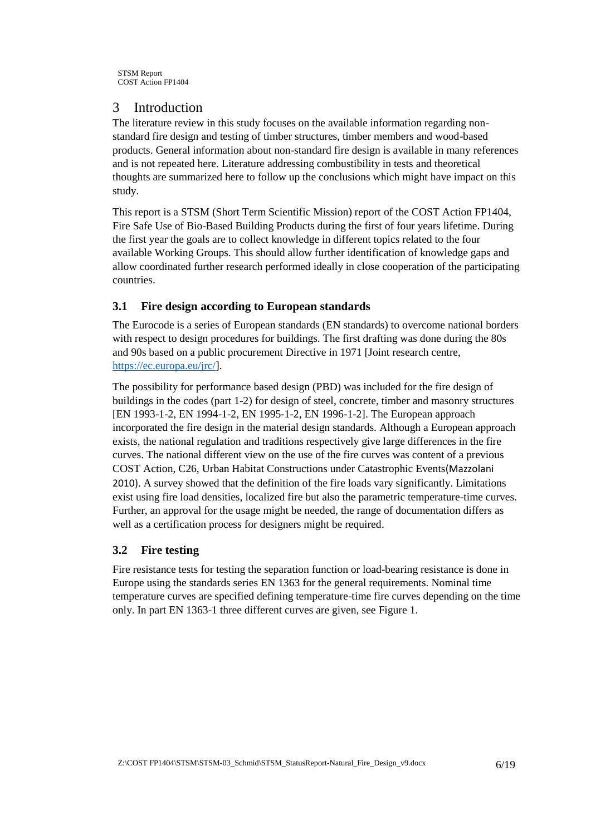## 3 Introduction

The literature review in this study focuses on the available information regarding nonstandard fire design and testing of timber structures, timber members and wood-based products. General information about non-standard fire design is available in many references and is not repeated here. Literature addressing combustibility in tests and theoretical thoughts are summarized here to follow up the conclusions which might have impact on this study.

This report is a STSM (Short Term Scientific Mission) report of the COST Action FP1404, Fire Safe Use of Bio-Based Building Products during the first of four years lifetime. During the first year the goals are to collect knowledge in different topics related to the four available Working Groups. This should allow further identification of knowledge gaps and allow coordinated further research performed ideally in close cooperation of the participating countries.

#### **3.1 Fire design according to European standards**

The Eurocode is a series of European standards (EN standards) to overcome national borders with respect to design procedures for buildings. The first drafting was done during the 80s and 90s based on a public procurement Directive in 1971 [Joint research centre, [https://ec.europa.eu/jrc/\]](https://ec.europa.eu/jrc/).

The possibility for performance based design (PBD) was included for the fire design of buildings in the codes (part 1-2) for design of steel, concrete, timber and masonry structures [EN 1993-1-2, EN 1994-1-2, EN 1995-1-2, EN 1996-1-2]. The European approach incorporated the fire design in the material design standards. Although a European approach exists, the national regulation and traditions respectively give large differences in the fire curves. The national different view on the use of the fire curves was content of a previous COST Action, C26, Urban Habitat Constructions under Catastrophic Events(Mazzolani 2010). A survey showed that the definition of the fire loads vary significantly. Limitations exist using fire load densities, localized fire but also the parametric temperature-time curves. Further, an approval for the usage might be needed, the range of documentation differs as well as a certification process for designers might be required.

#### **3.2 Fire testing**

Fire resistance tests for testing the separation function or load-bearing resistance is done in Europe using the standards series EN 1363 for the general requirements. Nominal time temperature curves are specified defining temperature-time fire curves depending on the time only. In part EN 1363-1 three different curves are given, see [Figure 1.](#page-6-0)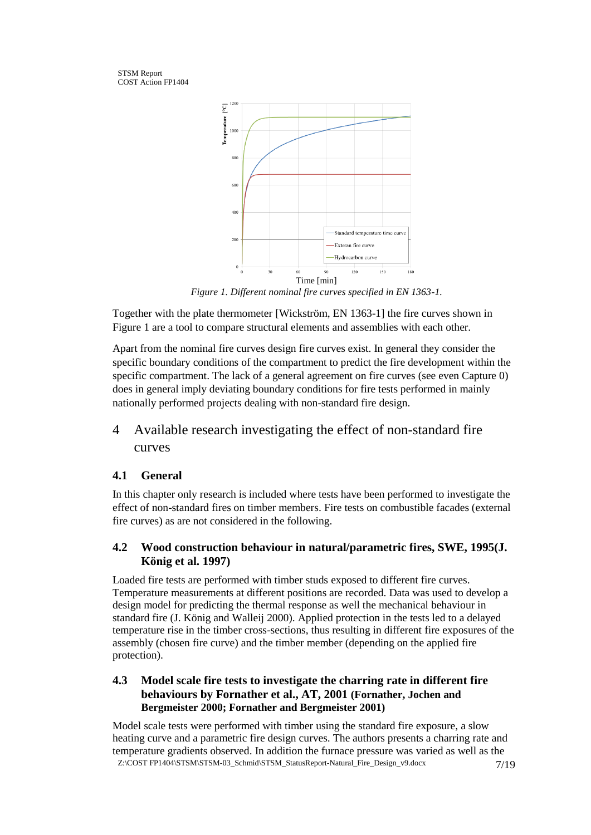

*Figure 1. Different nominal fire curves specified in EN 1363-1.*

<span id="page-6-0"></span>Together with the plate thermometer [Wickström, EN 1363-1] the fire curves shown in [Figure 1](#page-6-0) are a tool to compare structural elements and assemblies with each other.

Apart from the nominal fire curves design fire curves exist. In general they consider the specific boundary conditions of the compartment to predict the fire development within the specific compartment. The lack of a general agreement on fire curves (see even Capture 0) does in general imply deviating boundary conditions for fire tests performed in mainly nationally performed projects dealing with non-standard fire design.

# 4 Available research investigating the effect of non-standard fire curves

# **4.1 General**

In this chapter only research is included where tests have been performed to investigate the effect of non-standard fires on timber members. Fire tests on combustible facades (external fire curves) as are not considered in the following.

#### **4.2 Wood construction behaviour in natural/parametric fires, SWE, 1995(J. König et al. 1997)**

Loaded fire tests are performed with timber studs exposed to different fire curves. Temperature measurements at different positions are recorded. Data was used to develop a design model for predicting the thermal response as well the mechanical behaviour in standard fire (J. König and Walleij 2000). Applied protection in the tests led to a delayed temperature rise in the timber cross-sections, thus resulting in different fire exposures of the assembly (chosen fire curve) and the timber member (depending on the applied fire protection).

#### **4.3 Model scale fire tests to investigate the charring rate in different fire behaviours by Fornather et al., AT, 2001 (Fornather, Jochen and Bergmeister 2000; Fornather and Bergmeister 2001)**

Z:\COST FP1404\STSM\STSM-03\_Schmid\STSM\_StatusReport-Natural\_Fire\_Design\_v9.docx 7/19 Model scale tests were performed with timber using the standard fire exposure, a slow heating curve and a parametric fire design curves. The authors presents a charring rate and temperature gradients observed. In addition the furnace pressure was varied as well as the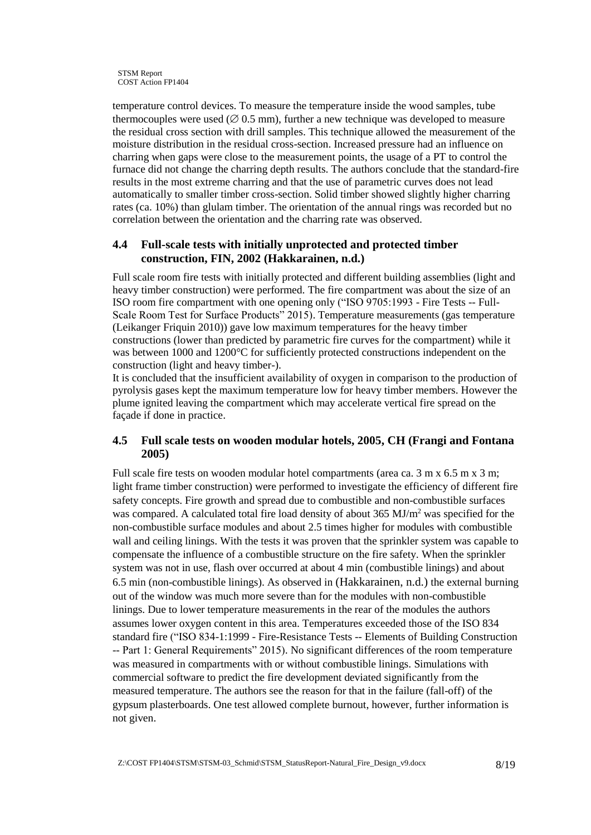temperature control devices. To measure the temperature inside the wood samples, tube thermocouples were used ( $\varnothing$  0.5 mm), further a new technique was developed to measure the residual cross section with drill samples. This technique allowed the measurement of the moisture distribution in the residual cross-section. Increased pressure had an influence on charring when gaps were close to the measurement points, the usage of a PT to control the furnace did not change the charring depth results. The authors conclude that the standard-fire results in the most extreme charring and that the use of parametric curves does not lead automatically to smaller timber cross-section. Solid timber showed slightly higher charring rates (ca. 10%) than glulam timber. The orientation of the annual rings was recorded but no correlation between the orientation and the charring rate was observed.

#### **4.4 Full-scale tests with initially unprotected and protected timber construction, FIN, 2002 (Hakkarainen, n.d.)**

Full scale room fire tests with initially protected and different building assemblies (light and heavy timber construction) were performed. The fire compartment was about the size of an ISO room fire compartment with one opening only ("ISO 9705:1993 - Fire Tests -- Full-Scale Room Test for Surface Products" 2015). Temperature measurements (gas temperature (Leikanger Friquin 2010)) gave low maximum temperatures for the heavy timber constructions (lower than predicted by parametric fire curves for the compartment) while it was between 1000 and 1200°C for sufficiently protected constructions independent on the construction (light and heavy timber-).

It is concluded that the insufficient availability of oxygen in comparison to the production of pyrolysis gases kept the maximum temperature low for heavy timber members. However the plume ignited leaving the compartment which may accelerate vertical fire spread on the façade if done in practice.

#### **4.5 Full scale tests on wooden modular hotels, 2005, CH (Frangi and Fontana 2005)**

Full scale fire tests on wooden modular hotel compartments (area ca. 3 m x 6.5 m x 3 m; light frame timber construction) were performed to investigate the efficiency of different fire safety concepts. Fire growth and spread due to combustible and non-combustible surfaces was compared. A calculated total fire load density of about 365 MJ/m<sup>2</sup> was specified for the non-combustible surface modules and about 2.5 times higher for modules with combustible wall and ceiling linings. With the tests it was proven that the sprinkler system was capable to compensate the influence of a combustible structure on the fire safety. When the sprinkler system was not in use, flash over occurred at about 4 min (combustible linings) and about 6.5 min (non-combustible linings). As observed in (Hakkarainen, n.d.) the external burning out of the window was much more severe than for the modules with non-combustible linings. Due to lower temperature measurements in the rear of the modules the authors assumes lower oxygen content in this area. Temperatures exceeded those of the ISO 834 standard fire ("ISO 834-1:1999 - Fire-Resistance Tests -- Elements of Building Construction -- Part 1: General Requirements" 2015). No significant differences of the room temperature was measured in compartments with or without combustible linings. Simulations with commercial software to predict the fire development deviated significantly from the measured temperature. The authors see the reason for that in the failure (fall-off) of the gypsum plasterboards. One test allowed complete burnout, however, further information is not given.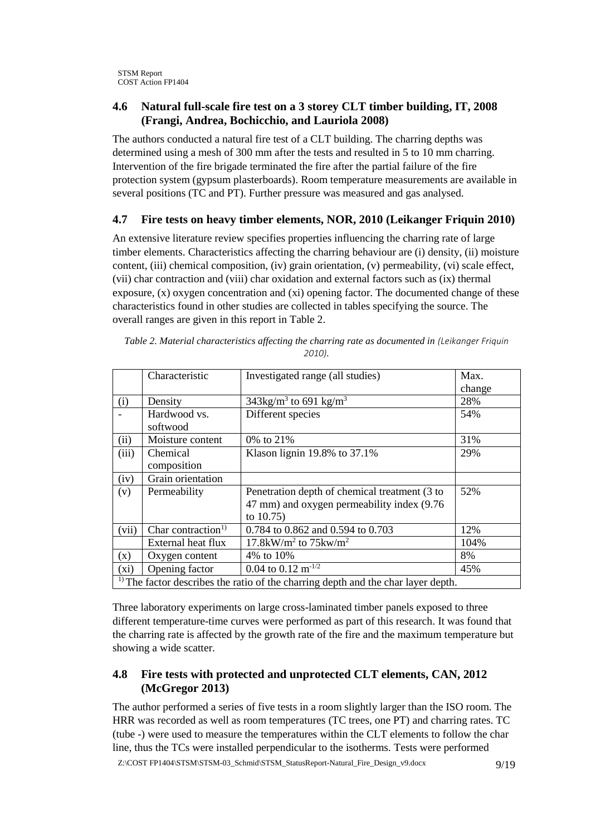#### **4.6 Natural full-scale fire test on a 3 storey CLT timber building, IT, 2008 (Frangi, Andrea, Bochicchio, and Lauriola 2008)**

The authors conducted a natural fire test of a CLT building. The charring depths was determined using a mesh of 300 mm after the tests and resulted in 5 to 10 mm charring. Intervention of the fire brigade terminated the fire after the partial failure of the fire protection system (gypsum plasterboards). Room temperature measurements are available in several positions (TC and PT). Further pressure was measured and gas analysed.

### **4.7 Fire tests on heavy timber elements, NOR, 2010 (Leikanger Friquin 2010)**

An extensive literature review specifies properties influencing the charring rate of large timber elements. Characteristics affecting the charring behaviour are (i) density, (ii) moisture content, (iii) chemical composition, (iv) grain orientation, (v) permeability, (vi) scale effect, (vii) char contraction and (viii) char oxidation and external factors such as (ix) thermal exposure, (x) oxygen concentration and (xi) opening factor. The documented change of these characteristics found in other studies are collected in tables specifying the source. The overall ranges are given in this report in [Table 2.](#page-8-0)

|                                                                                    | Characteristic                 | Investigated range (all studies)                | Max.   |  |
|------------------------------------------------------------------------------------|--------------------------------|-------------------------------------------------|--------|--|
|                                                                                    |                                |                                                 | change |  |
| (i)                                                                                | Density                        | $343\text{kg/m}^3$ to 691 kg/m <sup>3</sup>     | 28%    |  |
|                                                                                    | Hardwood vs.<br>softwood       | Different species                               | 54%    |  |
| (ii)                                                                               | Moisture content               | 0% to 21%                                       | 31%    |  |
| (iii)                                                                              | Chemical                       | Klason lignin $19.8\%$ to 37.1%                 | 29%    |  |
|                                                                                    | composition                    |                                                 |        |  |
| (iv)                                                                               | Grain orientation              |                                                 |        |  |
| (v)                                                                                | Permeability                   | Penetration depth of chemical treatment (3 to   | 52%    |  |
|                                                                                    |                                | 47 mm) and oxygen permeability index (9.76      |        |  |
|                                                                                    |                                | to $10.75$ )                                    |        |  |
| (vii)                                                                              | Char contraction <sup>1)</sup> | 0.784 to 0.862 and 0.594 to 0.703               | 12%    |  |
|                                                                                    | External heat flux             | 17.8kW/m <sup>2</sup> to $75$ kw/m <sup>2</sup> | 104%   |  |
| (x)                                                                                | Oxygen content                 | 4% to 10%                                       | 8%     |  |
| $(x_i)$                                                                            | Opening factor                 | 0.04 to 0.12 m <sup>-1/2</sup>                  | 45%    |  |
| $1$ The factor describes the ratio of the charring depth and the char layer depth. |                                |                                                 |        |  |

<span id="page-8-0"></span>*Table 2. Material characteristics affecting the charring rate as documented in (Leikanger Friquin 2010).*

Three laboratory experiments on large cross-laminated timber panels exposed to three different temperature-time curves were performed as part of this research. It was found that the charring rate is affected by the growth rate of the fire and the maximum temperature but showing a wide scatter.

### **4.8 Fire tests with protected and unprotected CLT elements, CAN, 2012 (McGregor 2013)**

The author performed a series of five tests in a room slightly larger than the ISO room. The HRR was recorded as well as room temperatures (TC trees, one PT) and charring rates. TC (tube -) were used to measure the temperatures within the CLT elements to follow the char line, thus the TCs were installed perpendicular to the isotherms. Tests were performed

Z:\COST FP1404\STSM\STSM-03\_Schmid\STSM\_StatusReport-Natural\_Fire\_Design\_v9.docx 9/19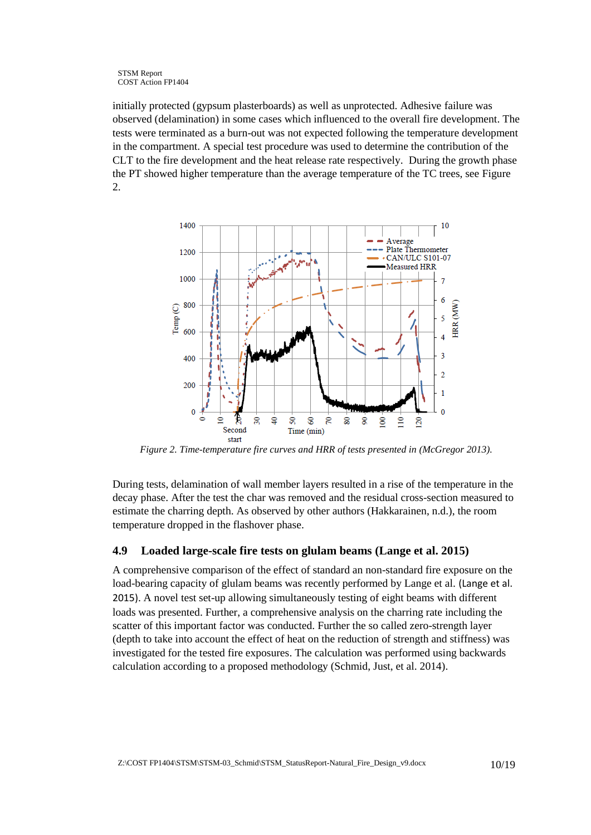initially protected (gypsum plasterboards) as well as unprotected. Adhesive failure was observed (delamination) in some cases which influenced to the overall fire development. The tests were terminated as a burn-out was not expected following the temperature development in the compartment. A special test procedure was used to determine the contribution of the CLT to the fire development and the heat release rate respectively. During the growth phase the PT showed higher temperature than the average temperature of the TC trees, see [Figure](#page-9-0)  [2.](#page-9-0)



<span id="page-9-0"></span>*Figure 2. Time-temperature fire curves and HRR of tests presented in (McGregor 2013).* 

During tests, delamination of wall member layers resulted in a rise of the temperature in the decay phase. After the test the char was removed and the residual cross-section measured to estimate the charring depth. As observed by other authors (Hakkarainen, n.d.), the room temperature dropped in the flashover phase.

#### <span id="page-9-1"></span>**4.9 Loaded large-scale fire tests on glulam beams (Lange et al. 2015)**

A comprehensive comparison of the effect of standard an non-standard fire exposure on the load-bearing capacity of glulam beams was recently performed by Lange et al. (Lange et al. 2015). A novel test set-up allowing simultaneously testing of eight beams with different loads was presented. Further, a comprehensive analysis on the charring rate including the scatter of this important factor was conducted. Further the so called zero-strength layer (depth to take into account the effect of heat on the reduction of strength and stiffness) was investigated for the tested fire exposures. The calculation was performed using backwards calculation according to a proposed methodology (Schmid, Just, et al. 2014).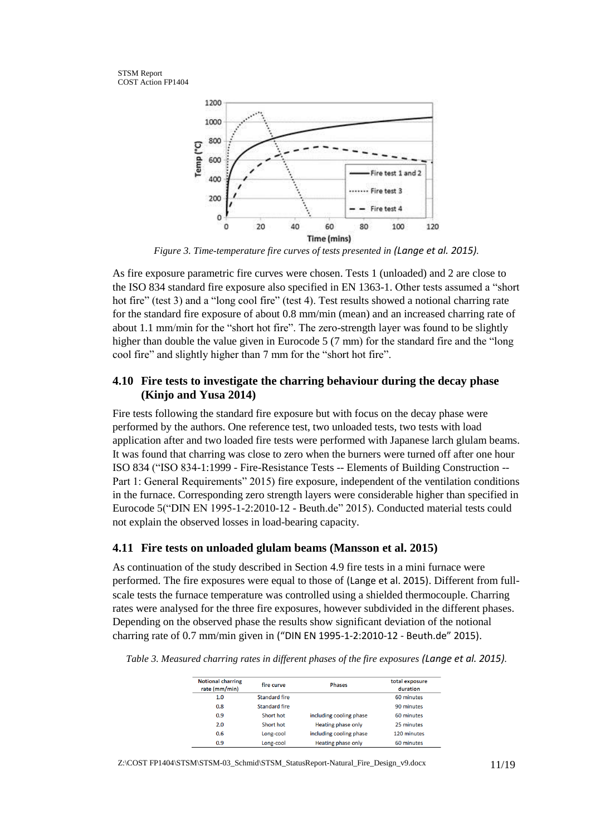



*Figure 3. Time-temperature fire curves of tests presented in (Lange et al. 2015).*

As fire exposure parametric fire curves were chosen. Tests 1 (unloaded) and 2 are close to the ISO 834 standard fire exposure also specified in EN 1363-1. Other tests assumed a "short hot fire" (test 3) and a "long cool fire" (test 4). Test results showed a notional charring rate for the standard fire exposure of about 0.8 mm/min (mean) and an increased charring rate of about 1.1 mm/min for the "short hot fire". The zero-strength layer was found to be slightly higher than double the value given in Eurocode 5 (7 mm) for the standard fire and the "long cool fire" and slightly higher than 7 mm for the "short hot fire".

#### **4.10 Fire tests to investigate the charring behaviour during the decay phase (Kinjo and Yusa 2014)**

Fire tests following the standard fire exposure but with focus on the decay phase were performed by the authors. One reference test, two unloaded tests, two tests with load application after and two loaded fire tests were performed with Japanese larch glulam beams. It was found that charring was close to zero when the burners were turned off after one hour ISO 834 ("ISO 834-1:1999 - Fire-Resistance Tests -- Elements of Building Construction -- Part 1: General Requirements" 2015) fire exposure, independent of the ventilation conditions in the furnace. Corresponding zero strength layers were considerable higher than specified in Eurocode 5("DIN EN 1995-1-2:2010-12 - Beuth.de" 2015). Conducted material tests could not explain the observed losses in load-bearing capacity.

#### **4.11 Fire tests on unloaded glulam beams (Mansson et al. 2015)**

As continuation of the study described in Section [4.9](#page-9-1) fire tests in a mini furnace were performed. The fire exposures were equal to those of (Lange et al. 2015). Different from fullscale tests the furnace temperature was controlled using a shielded thermocouple. Charring rates were analysed for the three fire exposures, however subdivided in the different phases. Depending on the observed phase the results show significant deviation of the notional charring rate of 0.7 mm/min given in ("DIN EN 1995-1-2:2010-12 - Beuth.de" 2015).

| <b>Notional charring</b><br>rate (mm/min) | fire curve           | <b>Phases</b>           | total exposure<br>duration |
|-------------------------------------------|----------------------|-------------------------|----------------------------|
| 1.0                                       | <b>Standard fire</b> |                         | 60 minutes                 |
| 0.8                                       | Standard fire        |                         | 90 minutes                 |
| 0.9                                       | Short hot            | including cooling phase | 60 minutes                 |
| 2.0                                       | Short hot            | Heating phase only      | 25 minutes                 |
| 0.6                                       | Long-cool            | including cooling phase | 120 minutes                |
| 0.9                                       | Long-cool            | Heating phase only      | 60 minutes                 |

*Table 3. Measured charring rates in different phases of the fire exposures (Lange et al. 2015).*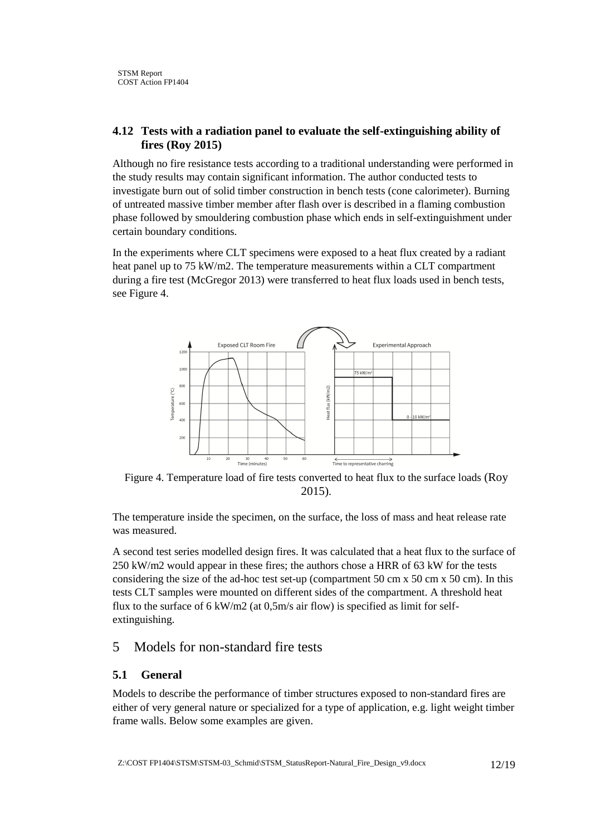#### **4.12 Tests with a radiation panel to evaluate the self-extinguishing ability of fires (Roy 2015)**

Although no fire resistance tests according to a traditional understanding were performed in the study results may contain significant information. The author conducted tests to investigate burn out of solid timber construction in bench tests (cone calorimeter). Burning of untreated massive timber member after flash over is described in a flaming combustion phase followed by smouldering combustion phase which ends in self-extinguishment under certain boundary conditions.

In the experiments where CLT specimens were exposed to a heat flux created by a radiant heat panel up to 75 kW/m2. The temperature measurements within a CLT compartment during a fire test (McGregor 2013) were transferred to heat flux loads used in bench tests, see [Figure 4.](#page-11-0)



<span id="page-11-0"></span>Figure 4. Temperature load of fire tests converted to heat flux to the surface loads (Roy 2015).

The temperature inside the specimen, on the surface, the loss of mass and heat release rate was measured.

A second test series modelled design fires. It was calculated that a heat flux to the surface of 250 kW/m2 would appear in these fires; the authors chose a HRR of 63 kW for the tests considering the size of the ad-hoc test set-up (compartment 50 cm x 50 cm x 50 cm). In this tests CLT samples were mounted on different sides of the compartment. A threshold heat flux to the surface of 6 kW/m2 (at 0,5m/s air flow) is specified as limit for selfextinguishing.

#### 5 Models for non-standard fire tests

#### **5.1 General**

Models to describe the performance of timber structures exposed to non-standard fires are either of very general nature or specialized for a type of application, e.g. light weight timber frame walls. Below some examples are given.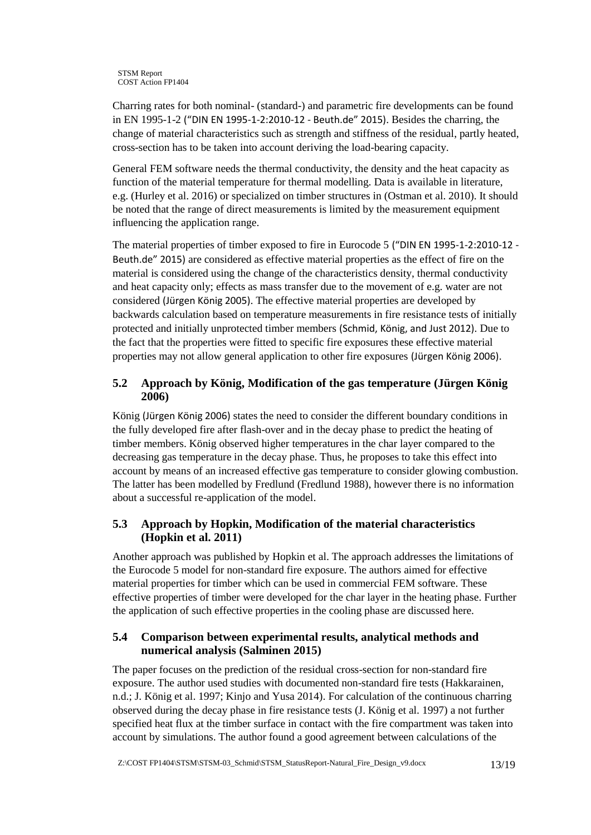Charring rates for both nominal- (standard-) and parametric fire developments can be found in EN 1995-1-2 ("DIN EN 1995-1-2:2010-12 - Beuth.de" 2015). Besides the charring, the change of material characteristics such as strength and stiffness of the residual, partly heated, cross-section has to be taken into account deriving the load-bearing capacity.

General FEM software needs the thermal conductivity, the density and the heat capacity as function of the material temperature for thermal modelling. Data is available in literature, e.g. (Hurley et al. 2016) or specialized on timber structures in (Ostman et al. 2010). It should be noted that the range of direct measurements is limited by the measurement equipment influencing the application range.

The material properties of timber exposed to fire in Eurocode 5 ("DIN EN 1995-1-2:2010-12 - Beuth.de" 2015) are considered as effective material properties as the effect of fire on the material is considered using the change of the characteristics density, thermal conductivity and heat capacity only; effects as mass transfer due to the movement of e.g. water are not considered (Jürgen König 2005). The effective material properties are developed by backwards calculation based on temperature measurements in fire resistance tests of initially protected and initially unprotected timber members (Schmid, König, and Just 2012). Due to the fact that the properties were fitted to specific fire exposures these effective material properties may not allow general application to other fire exposures (Jürgen König 2006).

#### **5.2 Approach by König, Modification of the gas temperature (Jürgen König 2006)**

König (Jürgen König 2006) states the need to consider the different boundary conditions in the fully developed fire after flash-over and in the decay phase to predict the heating of timber members. König observed higher temperatures in the char layer compared to the decreasing gas temperature in the decay phase. Thus, he proposes to take this effect into account by means of an increased effective gas temperature to consider glowing combustion. The latter has been modelled by Fredlund (Fredlund 1988), however there is no information about a successful re-application of the model.

#### **5.3 Approach by Hopkin, Modification of the material characteristics (Hopkin et al. 2011)**

Another approach was published by Hopkin et al. The approach addresses the limitations of the Eurocode 5 model for non-standard fire exposure. The authors aimed for effective material properties for timber which can be used in commercial FEM software. These effective properties of timber were developed for the char layer in the heating phase. Further the application of such effective properties in the cooling phase are discussed here.

#### **5.4 Comparison between experimental results, analytical methods and numerical analysis (Salminen 2015)**

The paper focuses on the prediction of the residual cross-section for non-standard fire exposure. The author used studies with documented non-standard fire tests (Hakkarainen, n.d.; J. König et al. 1997; Kinjo and Yusa 2014). For calculation of the continuous charring observed during the decay phase in fire resistance tests (J. König et al. 1997) a not further specified heat flux at the timber surface in contact with the fire compartment was taken into account by simulations. The author found a good agreement between calculations of the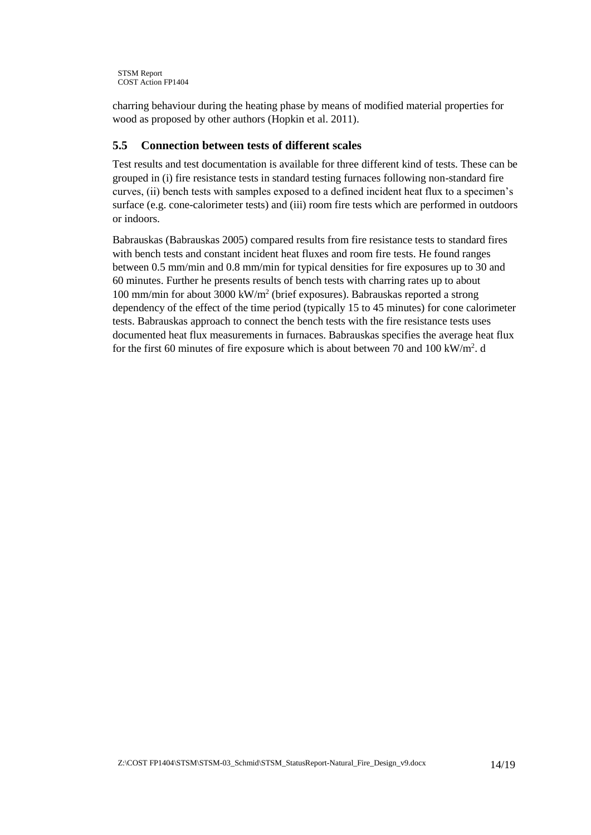```
STSM Report
COST Action FP1404
```
charring behaviour during the heating phase by means of modified material properties for wood as proposed by other authors (Hopkin et al. 2011).

#### **5.5 Connection between tests of different scales**

Test results and test documentation is available for three different kind of tests. These can be grouped in (i) fire resistance tests in standard testing furnaces following non-standard fire curves, (ii) bench tests with samples exposed to a defined incident heat flux to a specimen's surface (e.g. cone-calorimeter tests) and (iii) room fire tests which are performed in outdoors or indoors.

Babrauskas (Babrauskas 2005) compared results from fire resistance tests to standard fires with bench tests and constant incident heat fluxes and room fire tests. He found ranges between 0.5 mm/min and 0.8 mm/min for typical densities for fire exposures up to 30 and 60 minutes. Further he presents results of bench tests with charring rates up to about 100 mm/min for about 3000 kW/m<sup>2</sup> (brief exposures). Babrauskas reported a strong dependency of the effect of the time period (typically 15 to 45 minutes) for cone calorimeter tests. Babrauskas approach to connect the bench tests with the fire resistance tests uses documented heat flux measurements in furnaces. Babrauskas specifies the average heat flux for the first 60 minutes of fire exposure which is about between 70 and 100 kW/m<sup>2</sup>. d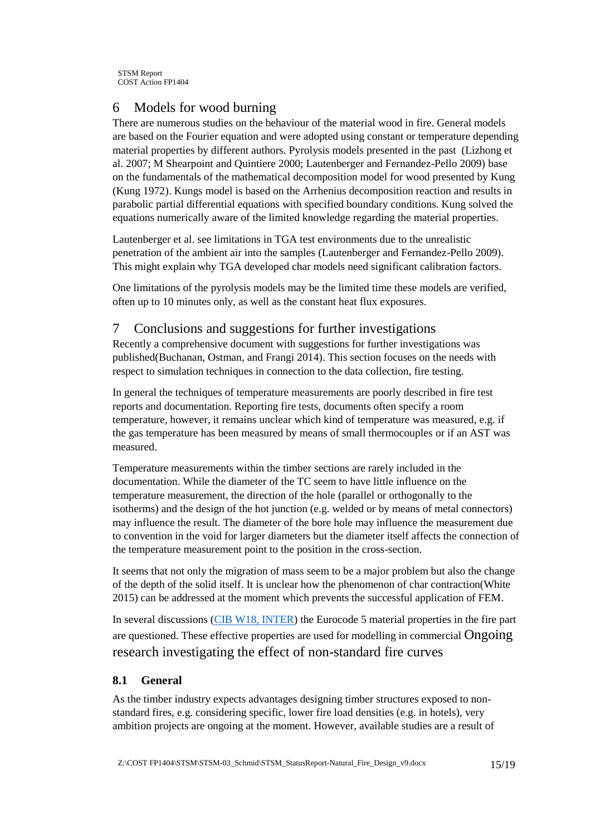# 6 Models for wood burning

There are numerous studies on the behaviour of the material wood in fire. General models are based on the Fourier equation and were adopted using constant or temperature depending material properties by different authors. Pyrolysis models presented in the past (Lizhong et al. 2007; M Shearpoint and Quintiere 2000; Lautenberger and Fernandez-Pello 2009) base on the fundamentals of the mathematical decomposition model for wood presented by Kung (Kung 1972). Kungs model is based on the Arrhenius decomposition reaction and results in parabolic partial differential equations with specified boundary conditions. Kung solved the equations numerically aware of the limited knowledge regarding the material properties.

Lautenberger et al. see limitations in TGA test environments due to the unrealistic penetration of the ambient air into the samples (Lautenberger and Fernandez-Pello 2009). This might explain why TGA developed char models need significant calibration factors.

One limitations of the pyrolysis models may be the limited time these models are verified, often up to 10 minutes only, as well as the constant heat flux exposures.

# 7 Conclusions and suggestions for further investigations

Recently a comprehensive document with suggestions for further investigations was published(Buchanan, Ostman, and Frangi 2014). This section focuses on the needs with respect to simulation techniques in connection to the data collection, fire testing.

In general the techniques of temperature measurements are poorly described in fire test reports and documentation. Reporting fire tests, documents often specify a room temperature, however, it remains unclear which kind of temperature was measured, e.g. if the gas temperature has been measured by means of small thermocouples or if an AST was measured.

Temperature measurements within the timber sections are rarely included in the documentation. While the diameter of the TC seem to have little influence on the temperature measurement, the direction of the hole (parallel or orthogonally to the isotherms) and the design of the hot junction (e.g. welded or by means of metal connectors) may influence the result. The diameter of the bore hole may influence the measurement due to convention in the void for larger diameters but the diameter itself affects the connection of the temperature measurement point to the position in the cross-section.

It seems that not only the migration of mass seem to be a major problem but also the change of the depth of the solid itself. It is unclear how the phenomenon of char contraction(White 2015) can be addressed at the moment which prevents the successful application of FEM.

In several discussions [\(CIB W18, INTER\)](http://holz.vaka.kit.edu/392.php) the Eurocode 5 material properties in the fire part are questioned. These effective properties are used for modelling in commercial Ongoing research investigating the effect of non-standard fire curves

#### **8.1 General**

As the timber industry expects advantages designing timber structures exposed to nonstandard fires, e.g. considering specific, lower fire load densities (e.g. in hotels), very ambition projects are ongoing at the moment. However, available studies are a result of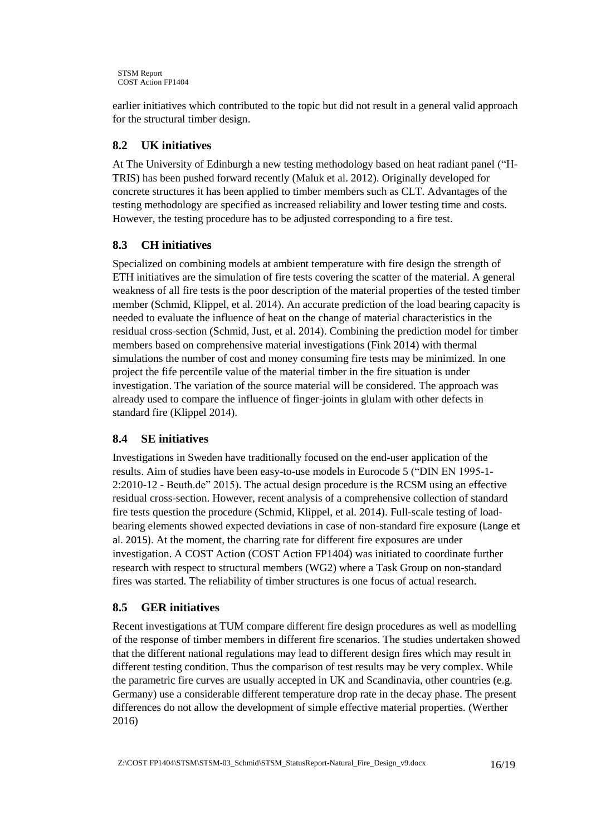```
STSM Report
COST Action FP1404
```
earlier initiatives which contributed to the topic but did not result in a general valid approach for the structural timber design.

### **8.2 UK initiatives**

At The University of Edinburgh a new testing methodology based on heat radiant panel ("H-TRIS) has been pushed forward recently (Maluk et al. 2012). Originally developed for concrete structures it has been applied to timber members such as CLT. Advantages of the testing methodology are specified as increased reliability and lower testing time and costs. However, the testing procedure has to be adjusted corresponding to a fire test.

#### **8.3 CH initiatives**

Specialized on combining models at ambient temperature with fire design the strength of ETH initiatives are the simulation of fire tests covering the scatter of the material. A general weakness of all fire tests is the poor description of the material properties of the tested timber member (Schmid, Klippel, et al. 2014). An accurate prediction of the load bearing capacity is needed to evaluate the influence of heat on the change of material characteristics in the residual cross-section (Schmid, Just, et al. 2014). Combining the prediction model for timber members based on comprehensive material investigations (Fink 2014) with thermal simulations the number of cost and money consuming fire tests may be minimized. In one project the fife percentile value of the material timber in the fire situation is under investigation. The variation of the source material will be considered. The approach was already used to compare the influence of finger-joints in glulam with other defects in standard fire (Klippel 2014).

#### **8.4 SE initiatives**

Investigations in Sweden have traditionally focused on the end-user application of the results. Aim of studies have been easy-to-use models in Eurocode 5 ("DIN EN 1995-1- 2:2010-12 - Beuth.de" 2015). The actual design procedure is the RCSM using an effective residual cross-section. However, recent analysis of a comprehensive collection of standard fire tests question the procedure (Schmid, Klippel, et al. 2014). Full-scale testing of loadbearing elements showed expected deviations in case of non-standard fire exposure (Lange et al. 2015). At the moment, the charring rate for different fire exposures are under investigation. A COST Action (COST Action FP1404) was initiated to coordinate further research with respect to structural members (WG2) where a Task Group on non-standard fires was started. The reliability of timber structures is one focus of actual research.

#### **8.5 GER initiatives**

Recent investigations at TUM compare different fire design procedures as well as modelling of the response of timber members in different fire scenarios. The studies undertaken showed that the different national regulations may lead to different design fires which may result in different testing condition. Thus the comparison of test results may be very complex. While the parametric fire curves are usually accepted in UK and Scandinavia, other countries (e.g. Germany) use a considerable different temperature drop rate in the decay phase. The present differences do not allow the development of simple effective material properties. (Werther 2016)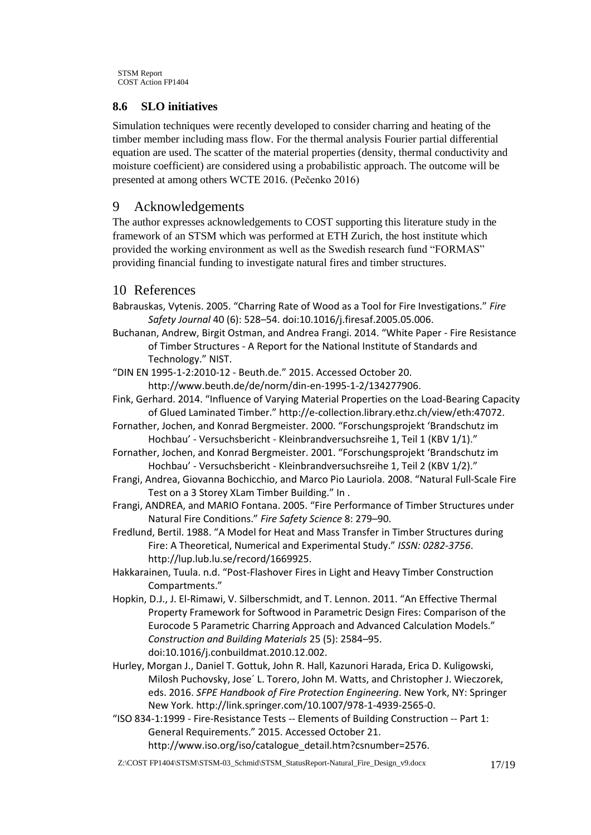```
STSM Report
COST Action FP1404
```
# **8.6 SLO initiatives**

Simulation techniques were recently developed to consider charring and heating of the timber member including mass flow. For the thermal analysis Fourier partial differential equation are used. The scatter of the material properties (density, thermal conductivity and moisture coefficient) are considered using a probabilistic approach. The outcome will be presented at among others WCTE 2016. (Pečenko 2016)

# 9 Acknowledgements

The author expresses acknowledgements to COST supporting this literature study in the framework of an STSM which was performed at ETH Zurich, the host institute which provided the working environment as well as the Swedish research fund "FORMAS" providing financial funding to investigate natural fires and timber structures.

# 10 References

- Babrauskas, Vytenis. 2005. "Charring Rate of Wood as a Tool for Fire Investigations." *Fire Safety Journal* 40 (6): 528–54. doi:10.1016/j.firesaf.2005.05.006.
- Buchanan, Andrew, Birgit Ostman, and Andrea Frangi. 2014. "White Paper Fire Resistance of Timber Structures - A Report for the National Institute of Standards and Technology." NIST.
- "DIN EN 1995-1-2:2010-12 Beuth.de." 2015. Accessed October 20.

http://www.beuth.de/de/norm/din-en-1995-1-2/134277906.

- Fink, Gerhard. 2014. "Influence of Varying Material Properties on the Load-Bearing Capacity of Glued Laminated Timber." http://e-collection.library.ethz.ch/view/eth:47072.
- Fornather, Jochen, and Konrad Bergmeister. 2000. "Forschungsprojekt 'Brandschutz im Hochbau' - Versuchsbericht - Kleinbrandversuchsreihe 1, Teil 1 (KBV 1/1)."
- Fornather, Jochen, and Konrad Bergmeister. 2001. "Forschungsprojekt 'Brandschutz im Hochbau' - Versuchsbericht - Kleinbrandversuchsreihe 1, Teil 2 (KBV 1/2)."
- Frangi, Andrea, Giovanna Bochicchio, and Marco Pio Lauriola. 2008. "Natural Full-Scale Fire Test on a 3 Storey XLam Timber Building." In .
- Frangi, ANDREA, and MARIO Fontana. 2005. "Fire Performance of Timber Structures under Natural Fire Conditions." *Fire Safety Science* 8: 279–90.
- Fredlund, Bertil. 1988. "A Model for Heat and Mass Transfer in Timber Structures during Fire: A Theoretical, Numerical and Experimental Study." *ISSN: 0282-3756*. http://lup.lub.lu.se/record/1669925.
- Hakkarainen, Tuula. n.d. "Post-Flashover Fires in Light and Heavy Timber Construction Compartments."
- Hopkin, D.J., J. El-Rimawi, V. Silberschmidt, and T. Lennon. 2011. "An Effective Thermal Property Framework for Softwood in Parametric Design Fires: Comparison of the Eurocode 5 Parametric Charring Approach and Advanced Calculation Models." *Construction and Building Materials* 25 (5): 2584–95. doi:10.1016/j.conbuildmat.2010.12.002.
- Hurley, Morgan J., Daniel T. Gottuk, John R. Hall, Kazunori Harada, Erica D. Kuligowski, Milosh Puchovsky, Jose´ L. Torero, John M. Watts, and Christopher J. Wieczorek, eds. 2016. *SFPE Handbook of Fire Protection Engineering*. New York, NY: Springer New York. http://link.springer.com/10.1007/978-1-4939-2565-0.
- "ISO 834-1:1999 Fire-Resistance Tests -- Elements of Building Construction -- Part 1: General Requirements." 2015. Accessed October 21. http://www.iso.org/iso/catalogue\_detail.htm?csnumber=2576.
- Z:\COST FP1404\STSM\STSM-03\_Schmid\STSM\_StatusReport-Natural\_Fire\_Design\_v9.docx 17/19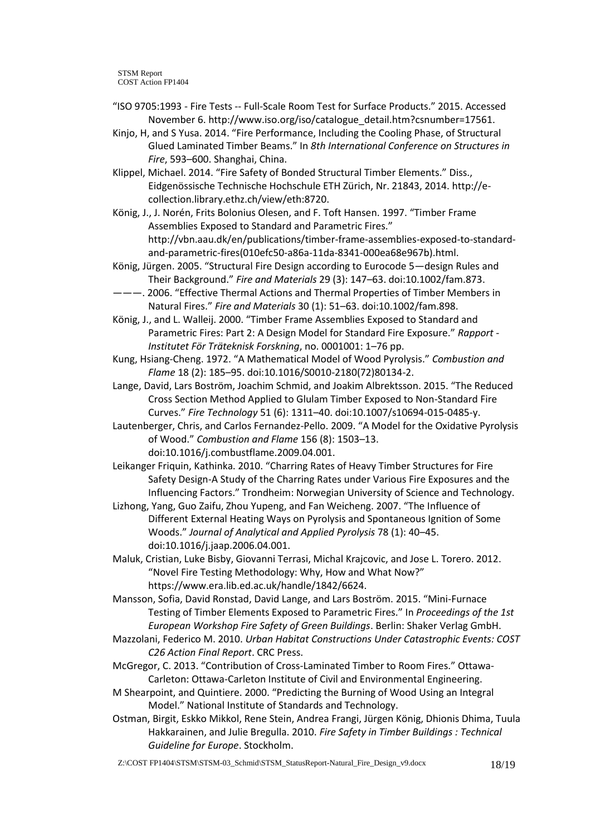- "ISO 9705:1993 Fire Tests -- Full-Scale Room Test for Surface Products." 2015. Accessed November 6. http://www.iso.org/iso/catalogue\_detail.htm?csnumber=17561.
- Kinjo, H, and S Yusa. 2014. "Fire Performance, Including the Cooling Phase, of Structural Glued Laminated Timber Beams." In *8th International Conference on Structures in Fire*, 593–600. Shanghai, China.
- Klippel, Michael. 2014. "Fire Safety of Bonded Structural Timber Elements." Diss., Eidgenössische Technische Hochschule ETH Zürich, Nr. 21843, 2014. http://ecollection.library.ethz.ch/view/eth:8720.
- König, J., J. Norén, Frits Bolonius Olesen, and F. Toft Hansen. 1997. "Timber Frame Assemblies Exposed to Standard and Parametric Fires." http://vbn.aau.dk/en/publications/timber-frame-assemblies-exposed-to-standardand-parametric-fires(010efc50-a86a-11da-8341-000ea68e967b).html.
- König, Jürgen. 2005. "Structural Fire Design according to Eurocode 5—design Rules and Their Background." *Fire and Materials* 29 (3): 147–63. doi:10.1002/fam.873.
- ———. 2006. "Effective Thermal Actions and Thermal Properties of Timber Members in Natural Fires." *Fire and Materials* 30 (1): 51–63. doi:10.1002/fam.898.
- König, J., and L. Walleij. 2000. "Timber Frame Assemblies Exposed to Standard and Parametric Fires: Part 2: A Design Model for Standard Fire Exposure." *Rapport - Institutet För Träteknisk Forskning*, no. 0001001: 1–76 pp.
- Kung, Hsiang-Cheng. 1972. "A Mathematical Model of Wood Pyrolysis." *Combustion and Flame* 18 (2): 185–95. doi:10.1016/S0010-2180(72)80134-2.
- Lange, David, Lars Boström, Joachim Schmid, and Joakim Albrektsson. 2015. "The Reduced Cross Section Method Applied to Glulam Timber Exposed to Non-Standard Fire Curves." *Fire Technology* 51 (6): 1311–40. doi:10.1007/s10694-015-0485-y.
- Lautenberger, Chris, and Carlos Fernandez-Pello. 2009. "A Model for the Oxidative Pyrolysis of Wood." *Combustion and Flame* 156 (8): 1503–13. doi:10.1016/j.combustflame.2009.04.001.
- Leikanger Friquin, Kathinka. 2010. "Charring Rates of Heavy Timber Structures for Fire Safety Design-A Study of the Charring Rates under Various Fire Exposures and the Influencing Factors." Trondheim: Norwegian University of Science and Technology.
- Lizhong, Yang, Guo Zaifu, Zhou Yupeng, and Fan Weicheng. 2007. "The Influence of Different External Heating Ways on Pyrolysis and Spontaneous Ignition of Some Woods." *Journal of Analytical and Applied Pyrolysis* 78 (1): 40–45. doi:10.1016/j.jaap.2006.04.001.
- Maluk, Cristian, Luke Bisby, Giovanni Terrasi, Michal Krajcovic, and Jose L. Torero. 2012. "Novel Fire Testing Methodology: Why, How and What Now?" https://www.era.lib.ed.ac.uk/handle/1842/6624.
- Mansson, Sofia, David Ronstad, David Lange, and Lars Boström. 2015. "Mini-Furnace Testing of Timber Elements Exposed to Parametric Fires." In *Proceedings of the 1st European Workshop Fire Safety of Green Buildings*. Berlin: Shaker Verlag GmbH.
- Mazzolani, Federico M. 2010. *Urban Habitat Constructions Under Catastrophic Events: COST C26 Action Final Report*. CRC Press.
- McGregor, C. 2013. "Contribution of Cross-Laminated Timber to Room Fires." Ottawa-Carleton: Ottawa-Carleton Institute of Civil and Environmental Engineering.
- M Shearpoint, and Quintiere. 2000. "Predicting the Burning of Wood Using an Integral Model." National Institute of Standards and Technology.
- Ostman, Birgit, Eskko Mikkol, Rene Stein, Andrea Frangi, Jürgen König, Dhionis Dhima, Tuula Hakkarainen, and Julie Bregulla. 2010. *Fire Safety in Timber Buildings : Technical Guideline for Europe*. Stockholm.
- Z:\COST FP1404\STSM\STSM-03\_Schmid\STSM\_StatusReport-Natural\_Fire\_Design\_v9.docx 18/19